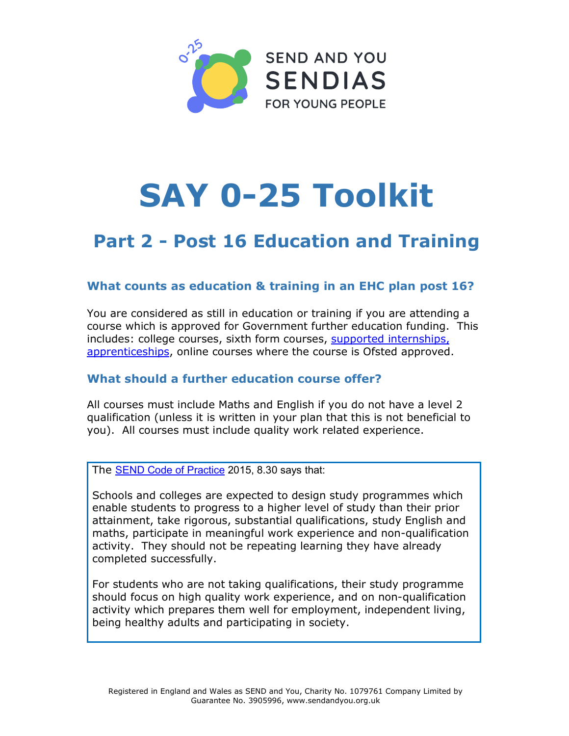

# **SAY 0**-25 Toolkit

# Part 2 - Post 16 Education and Training

# What counts as education & training in an EHC plan post 16?

You are considered as still in education or training if you are attending a course which is approved for Government further education funding. This includes: college courses, sixth form courses, supported internships, apprenticeships, online courses where the course is Ofsted approved.

# What should a further education course offer?

All courses must include Maths and English if you do not have a level 2 qualification (unless it is written in your plan that this is not beneficial to you). All courses must include quality work related experience.

The SEND Code of Practice 2015, 8.30 says that:

Schools and colleges are expected to design study programmes which enable students to progress to a higher level of study than their prior attainment, take rigorous, substantial qualifications, study English and maths, participate in meaningful work experience and non-qualification activity. They should not be repeating learning they have already completed successfully.

For students who are not taking qualifications, their study programme should focus on high quality work experience, and on non-qualification activity which prepares them well for employment, independent living, being healthy adults and participating in society.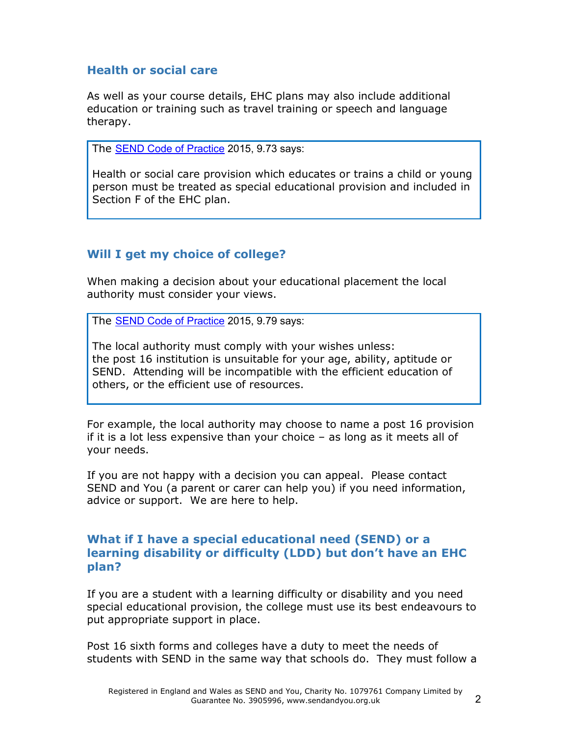### Health or social care

As well as your course details, EHC plans may also include additional education or training such as travel training or speech and language therapy.

The **SEND Code of Practice** 2015, 9.73 says:

Health or social care provision which educates or trains a child or young person must be treated as special educational provision and included in Section F of the EHC plan.

# Will I get my choice of college?

When making a decision about your educational placement the local authority must consider your views.

The SEND Code of Practice 2015, 9.79 says:

The local authority must comply with your wishes unless: the post 16 institution is unsuitable for your age, ability, aptitude or SEND. Attending will be incompatible with the efficient education of others, or the efficient use of resources.

For example, the local authority may choose to name a post 16 provision if it is a lot less expensive than your choice – as long as it meets all of your needs.

If you are not happy with a decision you can appeal. Please contact SEND and You (a parent or carer can help you) if you need information, advice or support. We are here to help.

#### What if I have a special educational need (SEND) or a learning disability or difficulty (LDD) but don't have an EHC plan?

If you are a student with a learning difficulty or disability and you need special educational provision, the college must use its best endeavours to put appropriate support in place.

Post 16 sixth forms and colleges have a duty to meet the needs of students with SEND in the same way that schools do. They must follow a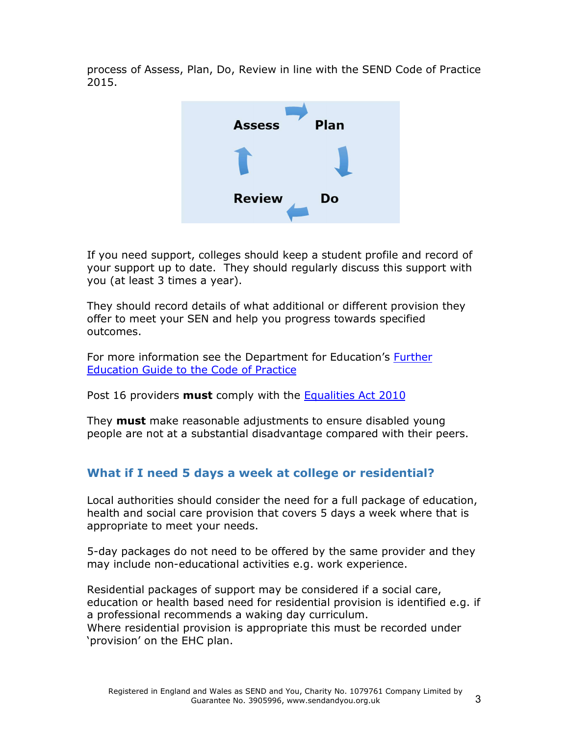process of Assess, Plan, Do, Review in line with the SEND Code of Practice 2015.



If you need support, colleges should keep a student profile and record of your support up to date. They should regularly discuss this support with you (at least 3 times a year).

They should record details of what additional or different provision they offer to meet your SEN and help you progress towards specified outcomes.

For more information see the Department for Education's Further Education Guide to the Code of Practice

Post 16 providers **must** comply with the Equalities Act 2010

They **must** make reasonable adjustments to ensure disabled young people are not at a substantial disadvantage compared with their peers.

# What if I need 5 days a week at college or residential?

Local authorities should consider the need for a full package of education, health and social care provision that covers 5 days a week where that is appropriate to meet your needs.

5-day packages do not need to be offered by the same provider and they may include non-educational activities e.g. work experience.

Residential packages of support may be considered if a social care, education or health based need for residential provision is identified e.g. if a professional recommends a waking day curriculum. Where residential provision is appropriate this must be recorded under 'provision' on the EHC plan.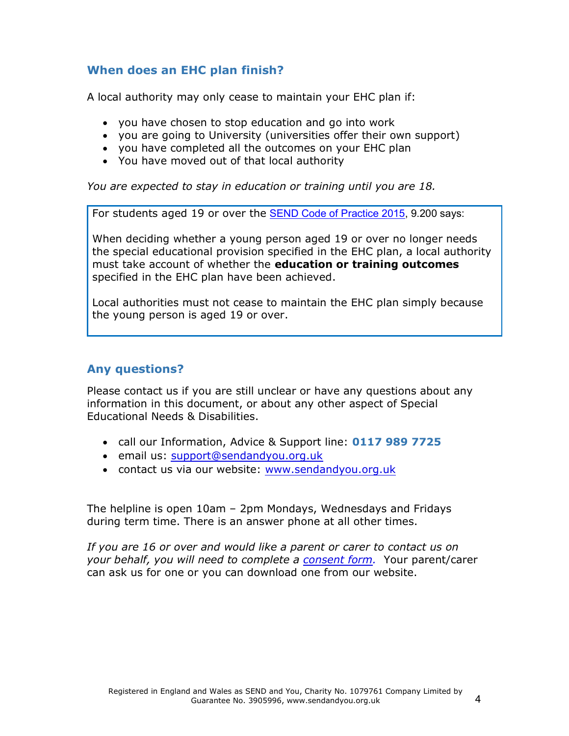# When does an EHC plan finish?

A local authority may only cease to maintain your EHC plan if:

- you have chosen to stop education and go into work
- you are going to University (universities offer their own support)
- you have completed all the outcomes on your EHC plan
- You have moved out of that local authority

You are expected to stay in education or training until you are 18.

For students aged 19 or over the SEND Code of Practice 2015, 9.200 says:

When deciding whether a young person aged 19 or over no longer needs the special educational provision specified in the EHC plan, a local authority must take account of whether the **education or training outcomes** specified in the EHC plan have been achieved.

Local authorities must not cease to maintain the EHC plan simply because the young person is aged 19 or over.

#### Any questions?

Please contact us if you are still unclear or have any questions about any information in this document, or about any other aspect of Special Educational Needs & Disabilities.

- call our Information, Advice & Support line: 0117 989 7725
- email us: support@[sendandyou](mailto:support@sendandyou.org.uk).org.uk
- contact us via our website: www.[sendandyou](http://www.sendandyou.org.uk).org.uk

The helpline is open 10am – 2pm Mondays, Wednesdays and Fridays during term time. There is an answer phone at all other times.

If you are 16 or over and would like a parent or carer to contact us on your behalf, you will need to complete a consent form. Your parent/carer can ask us for one or you can download one from our website.